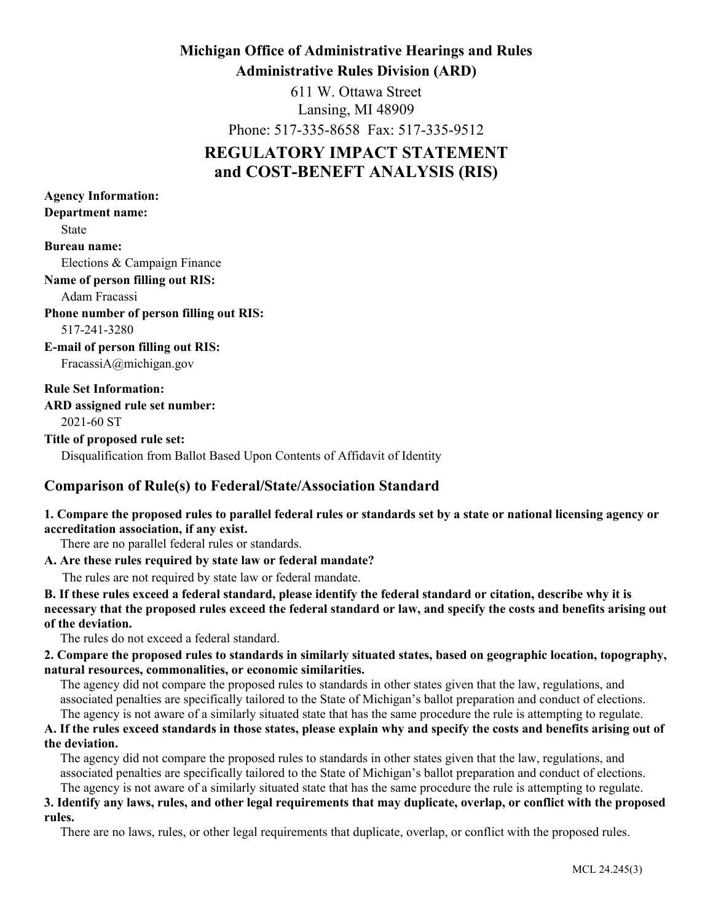# **Michigan Office of Administrative Hearings and Rules Administrative Rules Division (ARD)**

611 W. Ottawa Street Lansing, MI 48909

Phone: 517-335-8658 Fax: 517-335-9512

# **REGULATORY IMPACT STATEMENT and COST-BENEFT ANALYSIS (RIS)**

| <b>Agency Information:</b>                                                |
|---------------------------------------------------------------------------|
| Department name:                                                          |
| <b>State</b>                                                              |
| <b>Bureau name:</b>                                                       |
| Elections & Campaign Finance                                              |
| Name of person filling out RIS:                                           |
| Adam Fracassi                                                             |
| <b>Phone number of person filling out RIS:</b>                            |
| 517-241-3280                                                              |
| <b>E-mail of person filling out RIS:</b>                                  |
| FracassiA@michigan.gov                                                    |
| <b>Rule Set Information:</b>                                              |
| ARD assigned rule set number:                                             |
| 2021-60 ST                                                                |
| Title of proposed rule set:                                               |
| Disqualification from Ballot Based Upon Contents of Affidavit of Identity |

# **Comparison of Rule(s) to Federal/State/Association Standard**

# **1. Compare the proposed rules to parallel federal rules or standards set by a state or national licensing agency or accreditation association, if any exist.**

There are no parallel federal rules or standards.

### **A. Are these rules required by state law or federal mandate?**

The rules are not required by state law or federal mandate.

**B. If these rules exceed a federal standard, please identify the federal standard or citation, describe why it is necessary that the proposed rules exceed the federal standard or law, and specify the costs and benefits arising out of the deviation.**

The rules do not exceed a federal standard.

# **2. Compare the proposed rules to standards in similarly situated states, based on geographic location, topography, natural resources, commonalities, or economic similarities.**

The agency did not compare the proposed rules to standards in other states given that the law, regulations, and associated penalties are specifically tailored to the State of Michigan's ballot preparation and conduct of elections. The agency is not aware of a similarly situated state that has the same procedure the rule is attempting to regulate.

### **A. If the rules exceed standards in those states, please explain why and specify the costs and benefits arising out of the deviation.**

The agency did not compare the proposed rules to standards in other states given that the law, regulations, and associated penalties are specifically tailored to the State of Michigan's ballot preparation and conduct of elections. The agency is not aware of a similarly situated state that has the same procedure the rule is attempting to regulate.

# **3. Identify any laws, rules, and other legal requirements that may duplicate, overlap, or conflict with the proposed rules.**

There are no laws, rules, or other legal requirements that duplicate, overlap, or conflict with the proposed rules.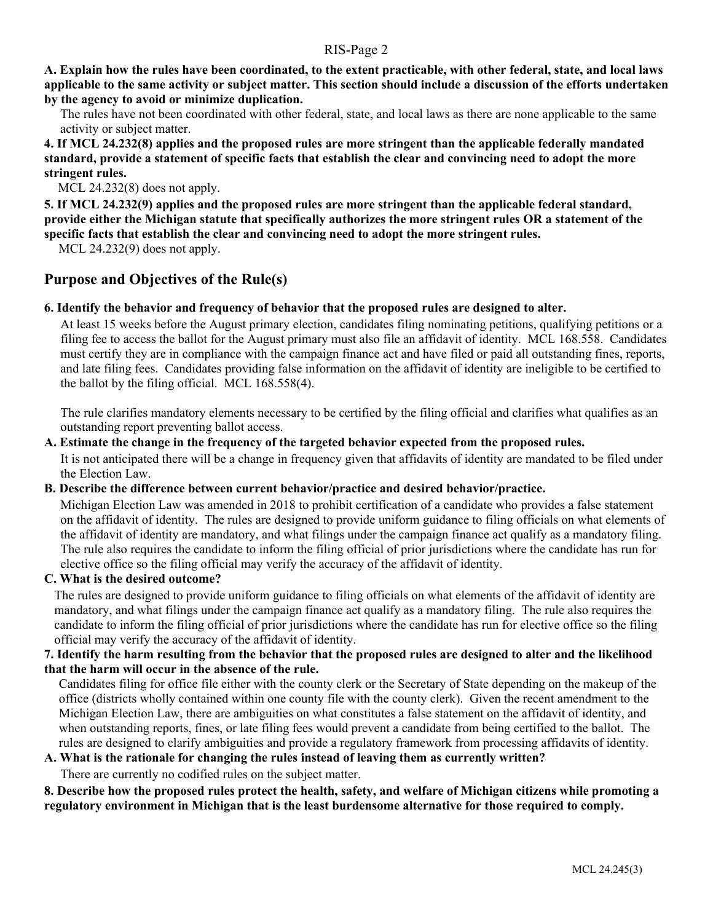**A. Explain how the rules have been coordinated, to the extent practicable, with other federal, state, and local laws applicable to the same activity or subject matter. This section should include a discussion of the efforts undertaken by the agency to avoid or minimize duplication.**

The rules have not been coordinated with other federal, state, and local laws as there are none applicable to the same activity or subject matter.

**4. If MCL 24.232(8) applies and the proposed rules are more stringent than the applicable federally mandated standard, provide a statement of specific facts that establish the clear and convincing need to adopt the more stringent rules.**

MCL 24.232(8) does not apply.

**5. If MCL 24.232(9) applies and the proposed rules are more stringent than the applicable federal standard, provide either the Michigan statute that specifically authorizes the more stringent rules OR a statement of the specific facts that establish the clear and convincing need to adopt the more stringent rules.**

MCL 24.232(9) does not apply.

# **Purpose and Objectives of the Rule(s)**

#### **6. Identify the behavior and frequency of behavior that the proposed rules are designed to alter.**

At least 15 weeks before the August primary election, candidates filing nominating petitions, qualifying petitions or a filing fee to access the ballot for the August primary must also file an affidavit of identity. MCL 168.558. Candidates must certify they are in compliance with the campaign finance act and have filed or paid all outstanding fines, reports, and late filing fees. Candidates providing false information on the affidavit of identity are ineligible to be certified to the ballot by the filing official. MCL 168.558(4).

The rule clarifies mandatory elements necessary to be certified by the filing official and clarifies what qualifies as an outstanding report preventing ballot access.

### **A. Estimate the change in the frequency of the targeted behavior expected from the proposed rules.**

It is not anticipated there will be a change in frequency given that affidavits of identity are mandated to be filed under the Election Law.

#### **B. Describe the difference between current behavior/practice and desired behavior/practice.**

Michigan Election Law was amended in 2018 to prohibit certification of a candidate who provides a false statement on the affidavit of identity. The rules are designed to provide uniform guidance to filing officials on what elements of the affidavit of identity are mandatory, and what filings under the campaign finance act qualify as a mandatory filing. The rule also requires the candidate to inform the filing official of prior jurisdictions where the candidate has run for elective office so the filing official may verify the accuracy of the affidavit of identity.

### **C. What is the desired outcome?**

The rules are designed to provide uniform guidance to filing officials on what elements of the affidavit of identity are mandatory, and what filings under the campaign finance act qualify as a mandatory filing. The rule also requires the candidate to inform the filing official of prior jurisdictions where the candidate has run for elective office so the filing official may verify the accuracy of the affidavit of identity.

### **7. Identify the harm resulting from the behavior that the proposed rules are designed to alter and the likelihood that the harm will occur in the absence of the rule.**

Candidates filing for office file either with the county clerk or the Secretary of State depending on the makeup of the office (districts wholly contained within one county file with the county clerk). Given the recent amendment to the Michigan Election Law, there are ambiguities on what constitutes a false statement on the affidavit of identity, and when outstanding reports, fines, or late filing fees would prevent a candidate from being certified to the ballot. The rules are designed to clarify ambiguities and provide a regulatory framework from processing affidavits of identity.

#### **A. What is the rationale for changing the rules instead of leaving them as currently written?**

There are currently no codified rules on the subject matter.

**8. Describe how the proposed rules protect the health, safety, and welfare of Michigan citizens while promoting a regulatory environment in Michigan that is the least burdensome alternative for those required to comply.**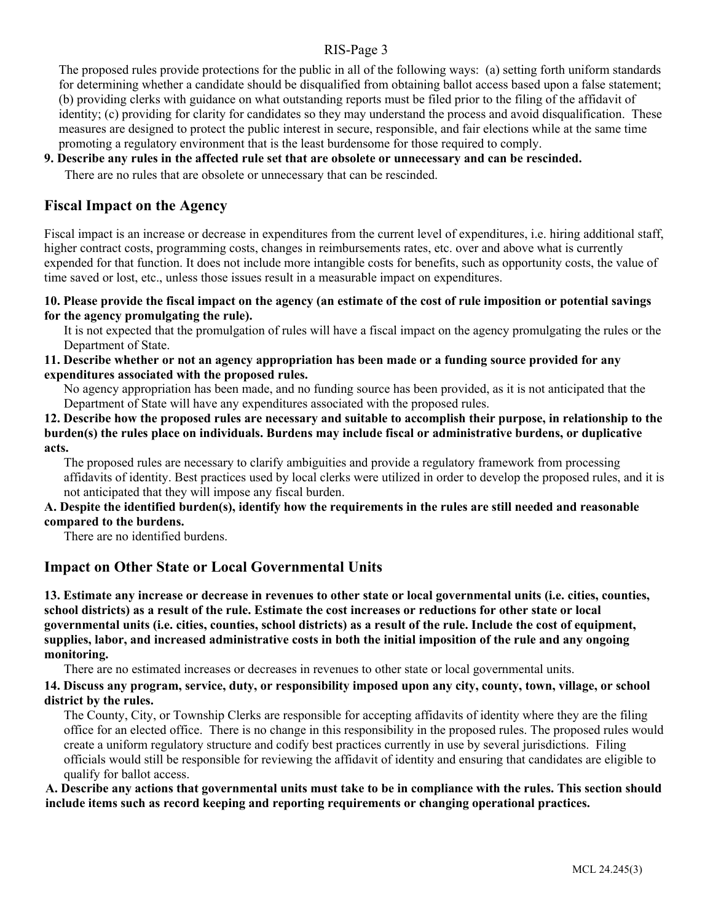The proposed rules provide protections for the public in all of the following ways: (a) setting forth uniform standards for determining whether a candidate should be disqualified from obtaining ballot access based upon a false statement; (b) providing clerks with guidance on what outstanding reports must be filed prior to the filing of the affidavit of identity; (c) providing for clarity for candidates so they may understand the process and avoid disqualification. These measures are designed to protect the public interest in secure, responsible, and fair elections while at the same time promoting a regulatory environment that is the least burdensome for those required to comply.

## **9. Describe any rules in the affected rule set that are obsolete or unnecessary and can be rescinded.**

There are no rules that are obsolete or unnecessary that can be rescinded.

# **Fiscal Impact on the Agency**

Fiscal impact is an increase or decrease in expenditures from the current level of expenditures, i.e. hiring additional staff, higher contract costs, programming costs, changes in reimbursements rates, etc. over and above what is currently expended for that function. It does not include more intangible costs for benefits, such as opportunity costs, the value of time saved or lost, etc., unless those issues result in a measurable impact on expenditures.

#### **10. Please provide the fiscal impact on the agency (an estimate of the cost of rule imposition or potential savings for the agency promulgating the rule).**

It is not expected that the promulgation of rules will have a fiscal impact on the agency promulgating the rules or the Department of State.

## **11. Describe whether or not an agency appropriation has been made or a funding source provided for any expenditures associated with the proposed rules.**

No agency appropriation has been made, and no funding source has been provided, as it is not anticipated that the Department of State will have any expenditures associated with the proposed rules.

**12. Describe how the proposed rules are necessary and suitable to accomplish their purpose, in relationship to the burden(s) the rules place on individuals. Burdens may include fiscal or administrative burdens, or duplicative acts.**

The proposed rules are necessary to clarify ambiguities and provide a regulatory framework from processing affidavits of identity. Best practices used by local clerks were utilized in order to develop the proposed rules, and it is not anticipated that they will impose any fiscal burden.

### **A. Despite the identified burden(s), identify how the requirements in the rules are still needed and reasonable compared to the burdens.**

There are no identified burdens.

# **Impact on Other State or Local Governmental Units**

**13. Estimate any increase or decrease in revenues to other state or local governmental units (i.e. cities, counties, school districts) as a result of the rule. Estimate the cost increases or reductions for other state or local governmental units (i.e. cities, counties, school districts) as a result of the rule. Include the cost of equipment, supplies, labor, and increased administrative costs in both the initial imposition of the rule and any ongoing monitoring.**

There are no estimated increases or decreases in revenues to other state or local governmental units.

### **14. Discuss any program, service, duty, or responsibility imposed upon any city, county, town, village, or school district by the rules.**

The County, City, or Township Clerks are responsible for accepting affidavits of identity where they are the filing office for an elected office. There is no change in this responsibility in the proposed rules. The proposed rules would create a uniform regulatory structure and codify best practices currently in use by several jurisdictions. Filing officials would still be responsible for reviewing the affidavit of identity and ensuring that candidates are eligible to qualify for ballot access.

**A. Describe any actions that governmental units must take to be in compliance with the rules. This section should include items such as record keeping and reporting requirements or changing operational practices.**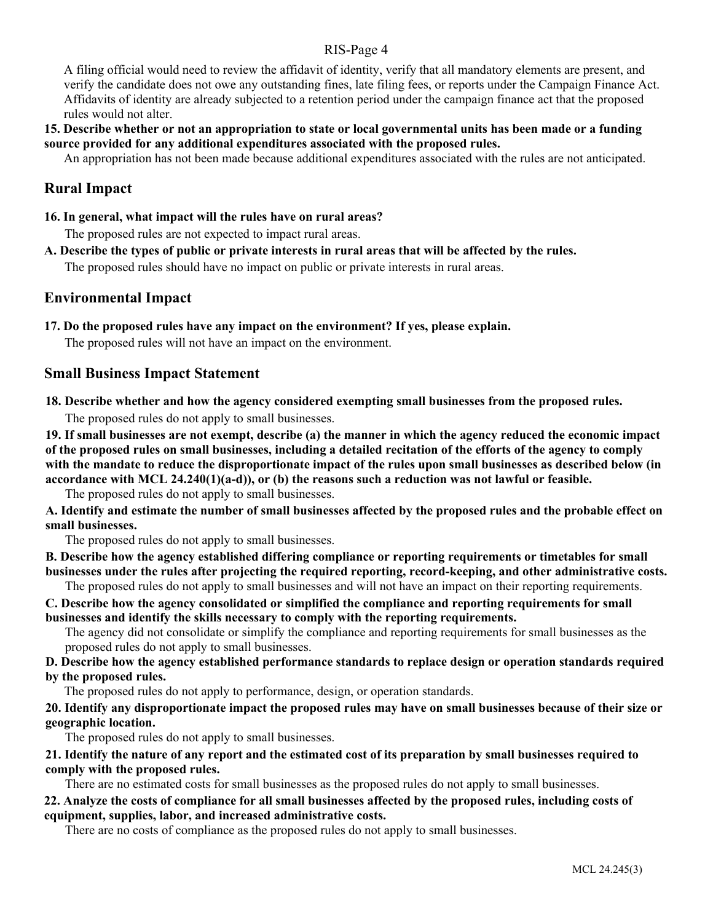A filing official would need to review the affidavit of identity, verify that all mandatory elements are present, and verify the candidate does not owe any outstanding fines, late filing fees, or reports under the Campaign Finance Act. Affidavits of identity are already subjected to a retention period under the campaign finance act that the proposed rules would not alter.

## **15. Describe whether or not an appropriation to state or local governmental units has been made or a funding source provided for any additional expenditures associated with the proposed rules.**

An appropriation has not been made because additional expenditures associated with the rules are not anticipated.

# **Rural Impact**

**16. In general, what impact will the rules have on rural areas?**

The proposed rules are not expected to impact rural areas.

**A. Describe the types of public or private interests in rural areas that will be affected by the rules.**

The proposed rules should have no impact on public or private interests in rural areas.

### **Environmental Impact**

**17. Do the proposed rules have any impact on the environment? If yes, please explain.** 

The proposed rules will not have an impact on the environment.

# **Small Business Impact Statement**

**18. Describe whether and how the agency considered exempting small businesses from the proposed rules.**

The proposed rules do not apply to small businesses.

**19. If small businesses are not exempt, describe (a) the manner in which the agency reduced the economic impact of the proposed rules on small businesses, including a detailed recitation of the efforts of the agency to comply with the mandate to reduce the disproportionate impact of the rules upon small businesses as described below (in accordance with MCL 24.240(1)(a-d)), or (b) the reasons such a reduction was not lawful or feasible.**

The proposed rules do not apply to small businesses.

**A. Identify and estimate the number of small businesses affected by the proposed rules and the probable effect on small businesses.**

The proposed rules do not apply to small businesses.

**B. Describe how the agency established differing compliance or reporting requirements or timetables for small businesses under the rules after projecting the required reporting, record-keeping, and other administrative costs.**

The proposed rules do not apply to small businesses and will not have an impact on their reporting requirements.

**C. Describe how the agency consolidated or simplified the compliance and reporting requirements for small businesses and identify the skills necessary to comply with the reporting requirements.** 

The agency did not consolidate or simplify the compliance and reporting requirements for small businesses as the proposed rules do not apply to small businesses.

**D. Describe how the agency established performance standards to replace design or operation standards required by the proposed rules.**

The proposed rules do not apply to performance, design, or operation standards.

**20. Identify any disproportionate impact the proposed rules may have on small businesses because of their size or geographic location.**

The proposed rules do not apply to small businesses.

**21. Identify the nature of any report and the estimated cost of its preparation by small businesses required to comply with the proposed rules.**

There are no estimated costs for small businesses as the proposed rules do not apply to small businesses.

# **22. Analyze the costs of compliance for all small businesses affected by the proposed rules, including costs of equipment, supplies, labor, and increased administrative costs.**

There are no costs of compliance as the proposed rules do not apply to small businesses.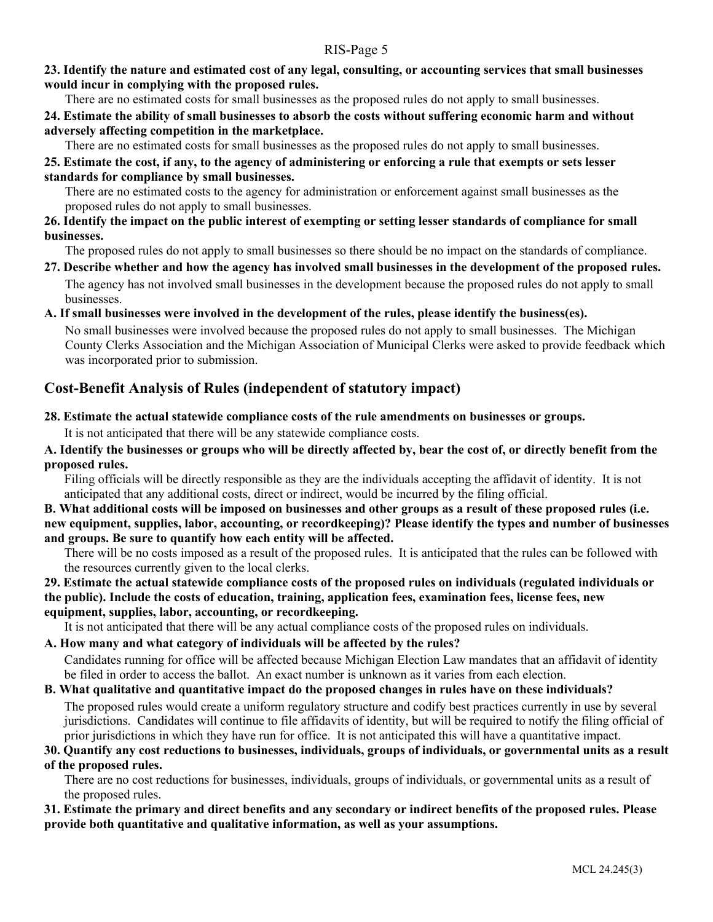## **23. Identify the nature and estimated cost of any legal, consulting, or accounting services that small businesses would incur in complying with the proposed rules.**

There are no estimated costs for small businesses as the proposed rules do not apply to small businesses.

## **24. Estimate the ability of small businesses to absorb the costs without suffering economic harm and without adversely affecting competition in the marketplace.**

There are no estimated costs for small businesses as the proposed rules do not apply to small businesses.

# **25. Estimate the cost, if any, to the agency of administering or enforcing a rule that exempts or sets lesser standards for compliance by small businesses.**

There are no estimated costs to the agency for administration or enforcement against small businesses as the proposed rules do not apply to small businesses.

## **26. Identify the impact on the public interest of exempting or setting lesser standards of compliance for small businesses.**

The proposed rules do not apply to small businesses so there should be no impact on the standards of compliance.

**27. Describe whether and how the agency has involved small businesses in the development of the proposed rules.** The agency has not involved small businesses in the development because the proposed rules do not apply to small businesses.

# **A. If small businesses were involved in the development of the rules, please identify the business(es).**

No small businesses were involved because the proposed rules do not apply to small businesses. The Michigan County Clerks Association and the Michigan Association of Municipal Clerks were asked to provide feedback which was incorporated prior to submission.

# **Cost-Benefit Analysis of Rules (independent of statutory impact)**

# **28. Estimate the actual statewide compliance costs of the rule amendments on businesses or groups.**

It is not anticipated that there will be any statewide compliance costs.

## **A. Identify the businesses or groups who will be directly affected by, bear the cost of, or directly benefit from the proposed rules.**

Filing officials will be directly responsible as they are the individuals accepting the affidavit of identity. It is not anticipated that any additional costs, direct or indirect, would be incurred by the filing official.

### **B. What additional costs will be imposed on businesses and other groups as a result of these proposed rules (i.e. new equipment, supplies, labor, accounting, or recordkeeping)? Please identify the types and number of businesses and groups. Be sure to quantify how each entity will be affected.**

There will be no costs imposed as a result of the proposed rules. It is anticipated that the rules can be followed with the resources currently given to the local clerks.

### **29. Estimate the actual statewide compliance costs of the proposed rules on individuals (regulated individuals or the public). Include the costs of education, training, application fees, examination fees, license fees, new equipment, supplies, labor, accounting, or recordkeeping.**

It is not anticipated that there will be any actual compliance costs of the proposed rules on individuals.

### **A. How many and what category of individuals will be affected by the rules?**

Candidates running for office will be affected because Michigan Election Law mandates that an affidavit of identity be filed in order to access the ballot. An exact number is unknown as it varies from each election.

# **B. What qualitative and quantitative impact do the proposed changes in rules have on these individuals?**

The proposed rules would create a uniform regulatory structure and codify best practices currently in use by several jurisdictions. Candidates will continue to file affidavits of identity, but will be required to notify the filing official of prior jurisdictions in which they have run for office. It is not anticipated this will have a quantitative impact.

# **30. Quantify any cost reductions to businesses, individuals, groups of individuals, or governmental units as a result**

### **of the proposed rules.**

There are no cost reductions for businesses, individuals, groups of individuals, or governmental units as a result of the proposed rules.

### **31. Estimate the primary and direct benefits and any secondary or indirect benefits of the proposed rules. Please provide both quantitative and qualitative information, as well as your assumptions.**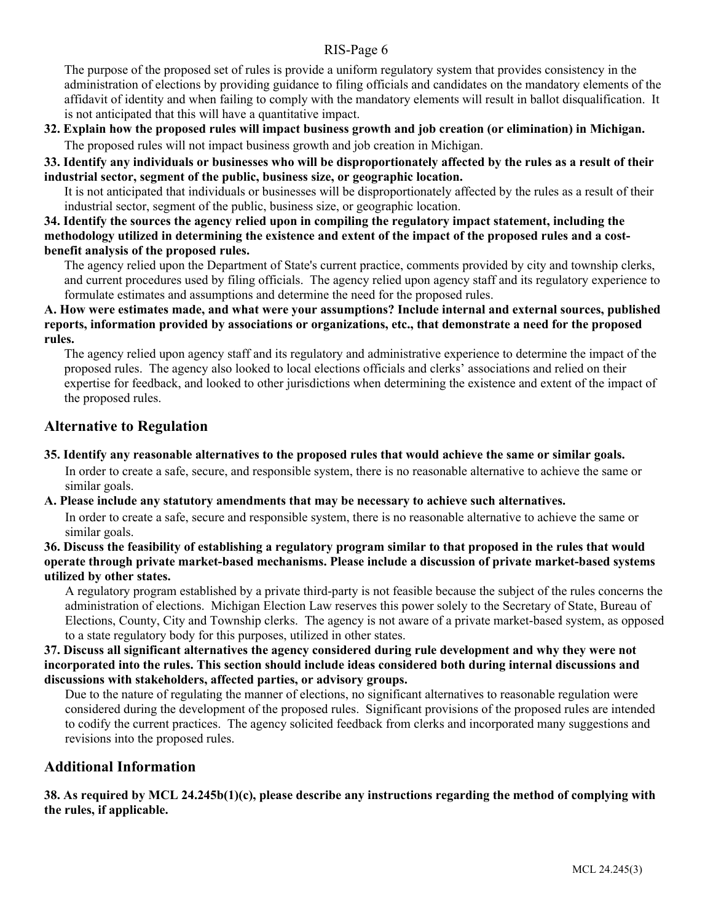The purpose of the proposed set of rules is provide a uniform regulatory system that provides consistency in the administration of elections by providing guidance to filing officials and candidates on the mandatory elements of the affidavit of identity and when failing to comply with the mandatory elements will result in ballot disqualification. It is not anticipated that this will have a quantitative impact.

**32. Explain how the proposed rules will impact business growth and job creation (or elimination) in Michigan.** The proposed rules will not impact business growth and job creation in Michigan.

**33. Identify any individuals or businesses who will be disproportionately affected by the rules as a result of their industrial sector, segment of the public, business size, or geographic location.**

It is not anticipated that individuals or businesses will be disproportionately affected by the rules as a result of their industrial sector, segment of the public, business size, or geographic location.

**34. Identify the sources the agency relied upon in compiling the regulatory impact statement, including the methodology utilized in determining the existence and extent of the impact of the proposed rules and a costbenefit analysis of the proposed rules.**

The agency relied upon the Department of State's current practice, comments provided by city and township clerks, and current procedures used by filing officials. The agency relied upon agency staff and its regulatory experience to formulate estimates and assumptions and determine the need for the proposed rules.

#### **A. How were estimates made, and what were your assumptions? Include internal and external sources, published reports, information provided by associations or organizations, etc., that demonstrate a need for the proposed rules.**

The agency relied upon agency staff and its regulatory and administrative experience to determine the impact of the proposed rules. The agency also looked to local elections officials and clerks' associations and relied on their expertise for feedback, and looked to other jurisdictions when determining the existence and extent of the impact of the proposed rules.

# **Alternative to Regulation**

**35. Identify any reasonable alternatives to the proposed rules that would achieve the same or similar goals.**

In order to create a safe, secure, and responsible system, there is no reasonable alternative to achieve the same or similar goals.

### **A. Please include any statutory amendments that may be necessary to achieve such alternatives.**

In order to create a safe, secure and responsible system, there is no reasonable alternative to achieve the same or similar goals.

**36. Discuss the feasibility of establishing a regulatory program similar to that proposed in the rules that would operate through private market-based mechanisms. Please include a discussion of private market-based systems utilized by other states.**

A regulatory program established by a private third-party is not feasible because the subject of the rules concerns the administration of elections. Michigan Election Law reserves this power solely to the Secretary of State, Bureau of Elections, County, City and Township clerks. The agency is not aware of a private market-based system, as opposed to a state regulatory body for this purposes, utilized in other states.

**37. Discuss all significant alternatives the agency considered during rule development and why they were not incorporated into the rules. This section should include ideas considered both during internal discussions and discussions with stakeholders, affected parties, or advisory groups.**

Due to the nature of regulating the manner of elections, no significant alternatives to reasonable regulation were considered during the development of the proposed rules. Significant provisions of the proposed rules are intended to codify the current practices. The agency solicited feedback from clerks and incorporated many suggestions and revisions into the proposed rules.

# **Additional Information**

**38. As required by MCL 24.245b(1)(c), please describe any instructions regarding the method of complying with the rules, if applicable.**